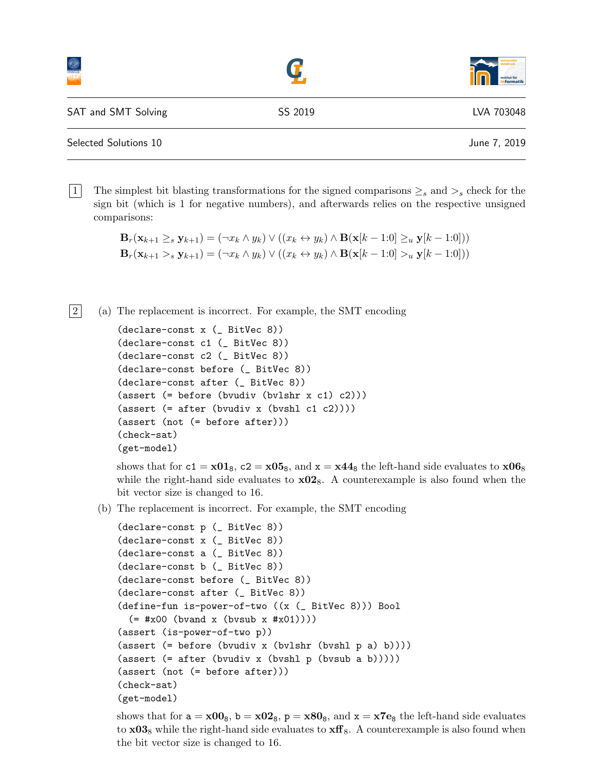|                       |         | universität<br>institut für<br>informatik |
|-----------------------|---------|-------------------------------------------|
| SAT and SMT Solving   | SS 2019 | LVA 703048                                |
| Selected Solutions 10 |         | June 7, 2019                              |

1. The simplest bit blasting transformations for the signed comparisons  $\geq_s$  and  $\geq_s$  check for the sign bit (which is 1 for negative numbers), and afterwards relies on the respective unsigned comparisons:

```
\mathbf{B}_r(\mathbf{x}_{k+1} \geq_s \mathbf{y}_{k+1}) = (\neg x_k \land y_k) \lor ((x_k \leftrightarrow y_k) \land \mathbf{B}(\mathbf{x}[k-1:0] \geq_u \mathbf{y}[k-1:0]))\mathbf{B}_r(\mathbf{x}_{k+1} >_s \mathbf{y}_{k+1}) = (\neg x_k \land y_k) \lor ((x_k \leftrightarrow y_k) \land \mathbf{B}(\mathbf{x}[k-1:0] >_u \mathbf{y}[k-1:0]))
```
2 (a) The replacement is incorrect. For example, the SMT encoding

```
(declare-const x (_ BitVec 8))
(declare-const c1 (_ BitVec 8))
(declare-const c2 (_ BitVec 8))
(declare-const before (_ BitVec 8))
(declare-const after (_ BitVec 8))
(assert (= before (bvudiv (bvlshr x c1) c2)))
(\text{assert } (= \text{after } (\text{bvudiv } x \text{ (bvshl } c1 c2))))(assert (not (= before after)))
(check-sat)
(get-model)
```
shows that for  $c_1 = x01_8$ ,  $c_2 = x05_8$ , and  $x = x44_8$  the left-hand side evaluates to  $x06_8$ while the right-hand side evaluates to  $\times 02_8$ . A counterexample is also found when the bit vector size is changed to 16.

(b) The replacement is incorrect. For example, the SMT encoding

```
(declare-const p (_ BitVec 8))
(declare-const x (_ BitVec 8))
(declare-const a (_ BitVec 8))
(declare-const b (_ BitVec 8))
(declare-const before (_ BitVec 8))
(declare-const after (_ BitVec 8))
(define-fun is-power-of-two ((x (_ BitVec 8))) Bool
  (= #x00 (bvand x (bvsub x #x01))))
(assert (is-power-of-two p))
(assert (= before (bvudiv x (bvlshr (bvshl p a) b))))
(\text{assert } (= \text{after } (\text{bvudiv } x \text{ (bvshl } p \text{ (bvsub } a b))))))(assert (not (= before after)))
(check-sat)
(get-model)
```
shows that for  $a = x00<sub>8</sub>$ ,  $b = x02<sub>8</sub>$ ,  $p = x80<sub>8</sub>$ , and  $x = x7e<sub>8</sub>$  the left-hand side evaluates to  $x03_8$  while the right-hand side evaluates to  $xff_8$ . A counterexample is also found when the bit vector size is changed to 16.